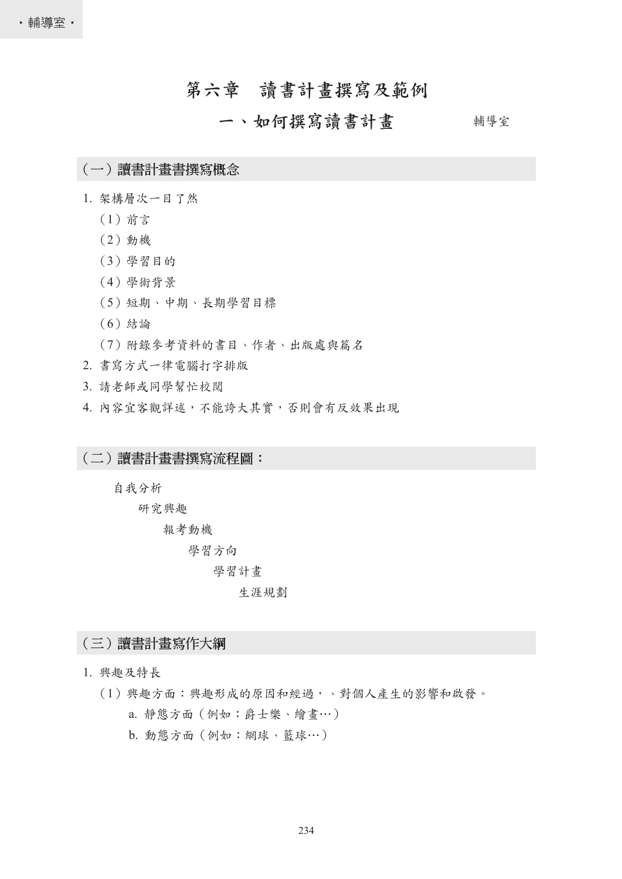# 第六章 讀書計畫撰寫及範例

# 一、如何撰寫讀書計畫 輔導室

### (一)讀書計畫書撰寫概念

- 1. 架構層次一目了然
	- (1)前言
	- (2)動機
	- (3)學習目的
	- (4)學術背景
	- (5)短期、中期、長期學習目標
	- (6)結論
	- (7)附錄參考資料的書目、作者、出版處與篇名
- 2. 書寫方式一律電腦打字排版
- 3. 請老師或同學幫忙校閱
- 4. 內容宜客觀詳述,不能誇大其實,否則會有反效果出現

(二)讀書計畫書撰寫流程圖:

自我分析

#### 研究興趣

#### 報考動機

#### 學習方向

#### 學習計畫

#### 生涯規劃

## (三)讀書計畫寫作大綱

#### 1. 興趣及特長

- (1)興趣方面:興趣形成的原因和經過,、對個人產生的影響和啟發。
	- a. 靜態方面(例如:爵士樂、繪畫…)
	- b. 動態方面(例如:網球、籃球…)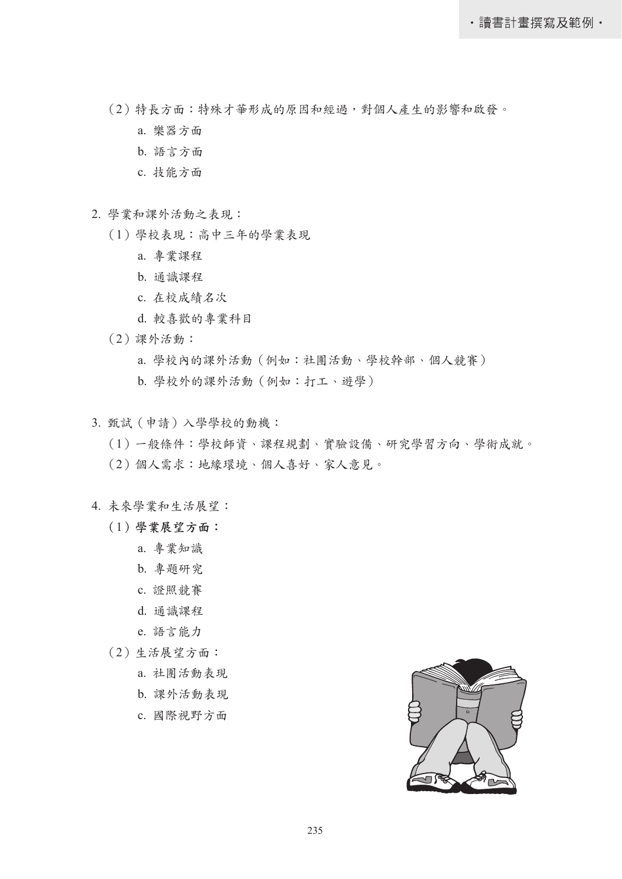(2)特長方面:特殊才華形成的原因和經過,對個人產生的影響和啟發。

- a. 樂器方面
- b. 語言方面
- c. 技能方面
- 2. 學業和課外活動之表現:
	- (1)學校表現:高中三年的學業表現
		- a. 專業課程
		- b. 通識課程
		- c. 在校成績名次
		- d. 較喜歡的專業科目
	- (2)課外活動:
		- a. 學校內的課外活動(例如:社團活動、學校幹部、個人競賽)
		- b. 學校外的課外活動(例如:打工、遊學)
- 3. 甄試(申請)入學學校的動機:
	- (1)一般條件:學校師資、課程規劃、實驗設備、研究學習方向、學術成就。
	- (2)個人需求:地緣環境、個人喜好、家人意見。
- 4. 未來學業和生活展望:
	- (1)學業展望方面:
		- a. 專業知識
		- b. 專題研究
		- c. 證照競賽
		- d. 通識課程
		- e. 語言能力
	- (2)生活展望方面:
		- a. 社團活動表現
		- b. 課外活動表現
		- c. 國際視野方面

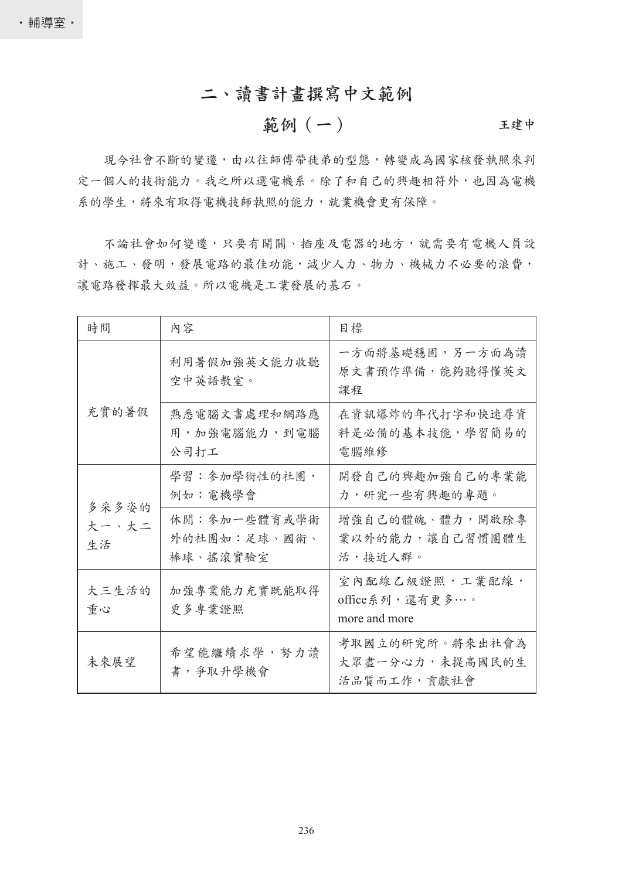二、讀書計畫撰寫中文範例

$$
\hat{M} \left( \begin{array}{c} - \end{array} \right) \qquad \qquad \text{if } \mathfrak{B} \text{ is a } \mathfrak{B} \text{ and } \mathfrak{B} \text{ is a } \mathfrak{B} \text{ and } \mathfrak{B} \text{ is a } \mathfrak{B} \text{ and } \mathfrak{B} \text{ is a } \mathfrak{B} \text{ is a } \mathfrak{B} \text{ and } \mathfrak{B} \text{ is a } \mathfrak{B} \text{ is a } \mathfrak{B} \text{ is a } \mathfrak{B} \text{ is a } \mathfrak{B} \text{ is a } \mathfrak{B} \text{ is a } \mathfrak{B} \text{ is a } \mathfrak{B} \text{ is a } \mathfrak{B} \text{ is a } \mathfrak{B} \text{ is a } \mathfrak{B} \text{ is a } \mathfrak{B} \text{ is a } \mathfrak{B} \text{ is a } \mathfrak{B} \text{ is a } \mathfrak{B} \text{ is a } \mathfrak{B} \text{ is a } \mathfrak{B} \text{ is a } \mathfrak{B} \text{ is a } \mathfrak{B} \text{ is a } \mathfrak{B} \text{ is a } \mathfrak{B} \text{ is a } \mathfrak{B} \text{ is a } \mathfrak{B} \text{ is a } \mathfrak{B} \text{ is a } \mathfrak{B} \text{ is a } \mathfrak{B} \text{ is a } \mathfrak{B} \text{ is a } \mathfrak{B} \text{ is a } \mathfrak{B} \text{ is a } \mathfrak{B} \text{ is a } \mathfrak{B} \text{ is a } \mathfrak{B} \text{ is a } \mathfrak{B} \text{ is a } \mathfrak{B} \text{ is a } \mathfrak{B} \text{ is a } \mathfrak{B} \text{ is a } \mathfrak{B} \text{ is a } \mathfrak{B} \text{ is a } \mathfrak{B} \text{ is a } \mathfrak{B} \text{ is a } \mathfrak{B} \text{ is a } \mathfrak{B} \text{ is a } \mathfrak{B} \text{ is a } \mathfrak{B} \text{ is a } \mathfrak{B} \text{ is a } \mathfrak{B} \text{ is a } \mathfrak{B} \text{ is a } \
$$

現今社會不斷的變遷,由以往師傅帶徒弟的型態,轉變成為國家核發執照來判 定一個人的技術能力。我之所以選電機系。除了和自己的興趣相符外,也因為電機 系的學生,將來有取得電機技師執照的能力,就業機會更有保障。

不論社會如何變遷,只要有開關、插座及電器的地方,就需要有電機人員設 計、施工、發明,發展電路的最佳功能,減少人力、物力、機械力不必要的浪費, 讓電路發揮最大效益。所以電機是工業發展的基石。

| 時間                   | 內容                                       | 目標                                                 |
|----------------------|------------------------------------------|----------------------------------------------------|
| 充實的暑假                | 利用暑假加強英文能力收聽<br>空中英語教室。                  | 一方面將基礎穩固,另一方面為讀<br>原文書預作準備,能夠聽得懂英文<br>課程           |
|                      | 熟悉電腦文書處理和網路應<br>用,加強電腦能力,到電腦<br>公司打工     | 在資訊爆炸的年代打字和快速尋資<br>料是必備的基本技能,學習簡易的<br>電腦維修         |
| 多采多姿的<br>大一、大二<br>生活 | 學習:參加學術性的社團,<br>例如:電機學會                  | 開發自己的興趣加強自己的專業能<br>力,研究一些有興趣的專題。                   |
|                      | 休閒:參加一些體育或學術<br>外的社團如:足球、國術、<br>棒球、搖滾實驗室 | 增強自己的體魄、體力,開啟除專<br>業以外的能力,讓自己習慣團體生<br>活,接近人群。      |
| 大三生活的<br>重心          | 加强專業能力充實既能取得<br>更多專業證照                   | 室內配線乙級證照,工業配線,<br>office系列,還有更多…。<br>more and more |
| 未來展望                 | 希望能繼續求學,努力讀<br>書,爭取升學機會                  | 考取國立的研究所。將來出社會為<br>大眾盡一分心力,未提高國民的生<br>活品質而工作,貢獻社會  |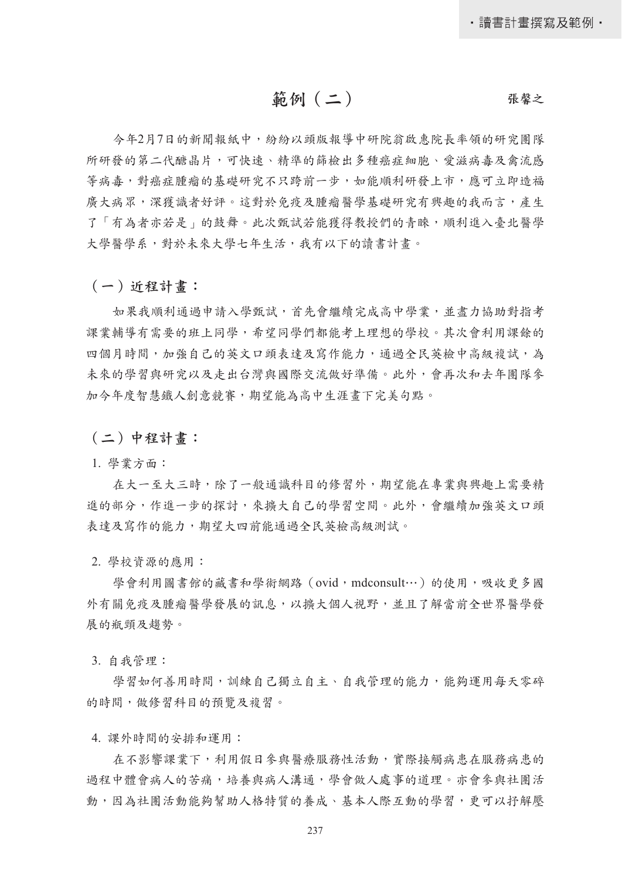## 範例(二)

張馨之

今年2月7日的新聞報紙中,紛紛以頭版報導中研院翁啟惠院長率領的研究團隊 所研發的第二代醣晶片,可快速、精準的篩檢出多種癌症細胞、愛滋病毒及禽流感 等病毒,對癌症腫瘤的基礎研究不只跨前一步,如能順利研發上市,應可立即造福 廣大病眾,深獲識者好評。這對於免疫及腫瘤醫學基礎研究有興趣的我而言,產生 了「有為者亦若是」的鼓舞。此次甄試若能獲得教授們的青睐,順利進入臺北醫學 大學醫學系,對於未來大學七年生活,我有以下的讀書計畫。

(一)近程計畫:

如果我順利通過申請入學甄試,首先會繼續完成高中學業,並盡力協助對指考 課業輔導有需要的班上同學,希望同學們都能考上理想的學校。其次會利用課餘的 四個月時間,加強自己的英文口頭表達及寫作能力,通過全民英檢中高級複試,為 未來的學習與研究以及走出台灣與國際交流做好準備。此外,會再次和去年團隊參 加今年度智慧鐵人創意競賽,期望能為高中生涯畫下完美句點。

(二)中程計畫:

1. 學業方面:

在大一至大三時,除了一般通識科目的修習外,期望能在專業與興趣上需要精 進的部分,作進一步的探討,來擴大自己的學習空間。此外,會繼續加強英文口頭 表達及寫作的能力,期望大四前能通過全民英檢高級測試。

2. 學校資源的應用:

學會利用圖書館的藏書和學術網路 (ovid, mdconsult…) 的使用,吸收更多國 外有關免疫及腫瘤醫學發展的訊息,以擴大個人視野,並且了解當前全世界醫學發 展的瓶頸及趨勢。

3. 自我管理:

學習如何善用時間,訓練自己獨立自主、自我管理的能力,能夠運用每天零碎 的時間,做修習科目的預覽及複習。

4. 課外時間的安排和運用:

在不影響課業下,利用假日參與醫療服務性活動,實際接觸病患在服務病患的 過程中體會病人的苦痛,培養與病人溝通,學會做人處事的道理。亦會參與社團活 動,因為社團活動能夠幫助人格特質的養成、基本人際互動的學習,更可以抒解壓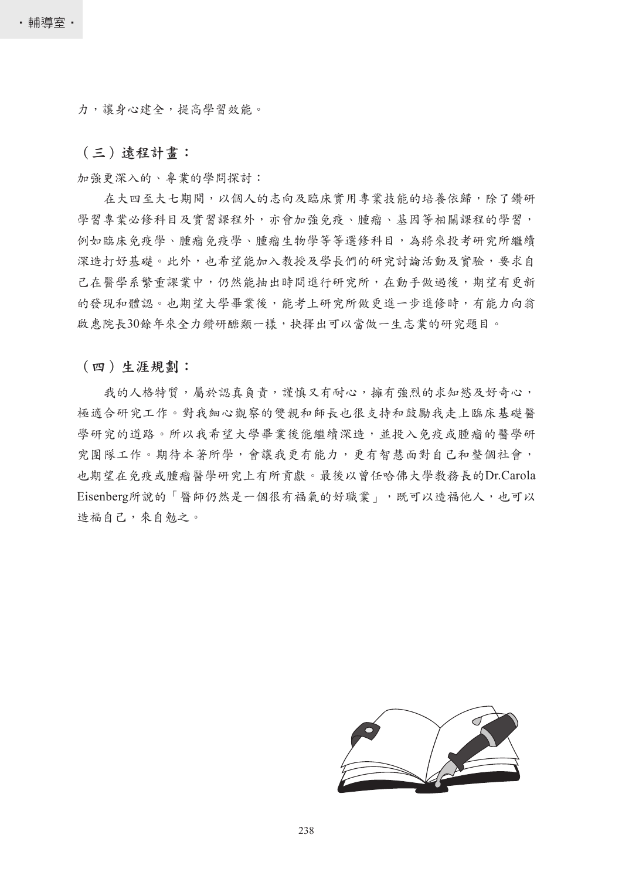力,讓身心建全,提高學習效能。

(三)遠程計畫:

加強更深入的、專業的學問探討:

在大四至大七期間,以個人的志向及臨床實用專業技能的培養依歸,除了鑽研 學習專業必修科目及實習課程外,亦會加強免疫、腫瘤、基因等相關課程的學習, 例如臨床免疫學、腫瘤學、腫瘤生物學等等選修科目,為將來投考研究所繼續 深造打好基礎。此外,也希望能加入教授及學長們的研究討論活動及實驗,要求自 己在醫學系繁重課業中,仍然能抽出時間進行研究所,在動手做過後,期望有更新 的發現和體認。也期望大學畢業後,能考上研究所做更進一步進修時,有能力向翁 啟惠院長30餘年來全力鑽研醣類一樣,抉擇出可以當做一生志業的研究題目。

(四)生涯規劃:

我的人格特質,屬於認真負責,謹慎又有耐心,擁有強烈的求知慾及好奇心, 極適合研究工作。對我細心觀察的雙親和師長也很支持和鼓勵我走上臨床基礎醫 學研究的道路。所以我希望大學畢業後能繼續深造,並投入免疫或腫瘤的醫學研 究團隊工作。期待本著所學,會讓我更有能力,更有智慧面對自己和整個社會, 也期望在免疫或腫瘤醫學研究上有所貢獻。最後以曾任哈佛大學教務長的Dr.Carola Eisenberg所說的「醫師仍然是一個很有福氣的好職業」,既可以造福他人,也可以 造福自己,來自勉之。

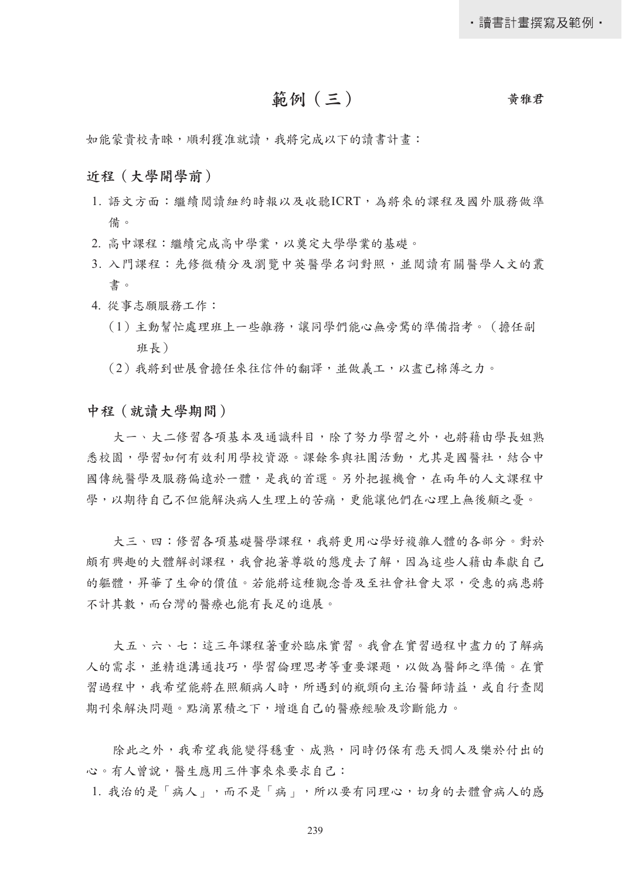## 範例(三)

黃雅君

如能蒙貴校青睞,順利獲准就讀,我將完成以下的讀書計畫:

#### 近程(大學開學前)

- 1. 語文方面:繼續閱讀紐約時報以及收聽ICRT,為將來的課程及國外服務做準 備。
- 2. 高中課程:繼續完成高中學業,以奠定大學學業的基礎。
- 3. 入門課程:先修微積分及瀏覽中英醫學名詞對照,並閱讀有關醫學人文的叢 書。
- 4. 從事志願服務工作:
	- (1)主動幫忙處理班上一些雜務,讓同學們能心無旁騖的準備指考。(擔任副 班長)
	- (2)我將到世展會擔任來往信件的翻譯,並做義工,以盡已棉薄之力。

#### 中程(就讀大學期間)

大一、大二修習各項基本及通識科目,除了努力學習之外,也將藉由學長姐熟 悉校園,學習如何有效利用學校資源。課餘參與社團活動,尤其是國醫社,結合中 國傳統醫學及服務偏遠於一體,是我的首選。另外把握機會,在兩年的人文課程中 學,以期待自己不但能解決病人生理上的苦痛,更能讓他們在心理上無後顧之憂。

大三、四:修習各項基礎醫學課程,我將更用心學好複雜人體的各部分。對於 頗有興趣的大體解剖課程,我會抱著尊敬的態度去了解,因為這些人藉由奉獻自己 的軀體,昇華了生命的價值。若能將這種觀念普及至社會社會大眾,受惠的病患將 不計其數,而台灣的醫療也能有長足的進展。

大五、六、七:這三年課程著重於臨床實習。我會在實習過程中盡力的了解病 人的需求,並精進溝通技巧,學習倫理思考等重要課題,以做為醫師之準備。在實 習過程中,我希望能將在照顧病人時,所遇到的瓶頸向主治醫師請益,或自行查閱 期刊來解決問題。點滴累積之下,增進自己的醫療經驗及診斷能力。

除此之外,我希望我能變得穩重、成熟,同時仍保有悲天憫人及樂於付出的 心。有人曾說,醫生應用三件事來來要求自己:

1. 我治的是「病人」,而不是「病」,所以要有同理心,切身的去體會病人的感

239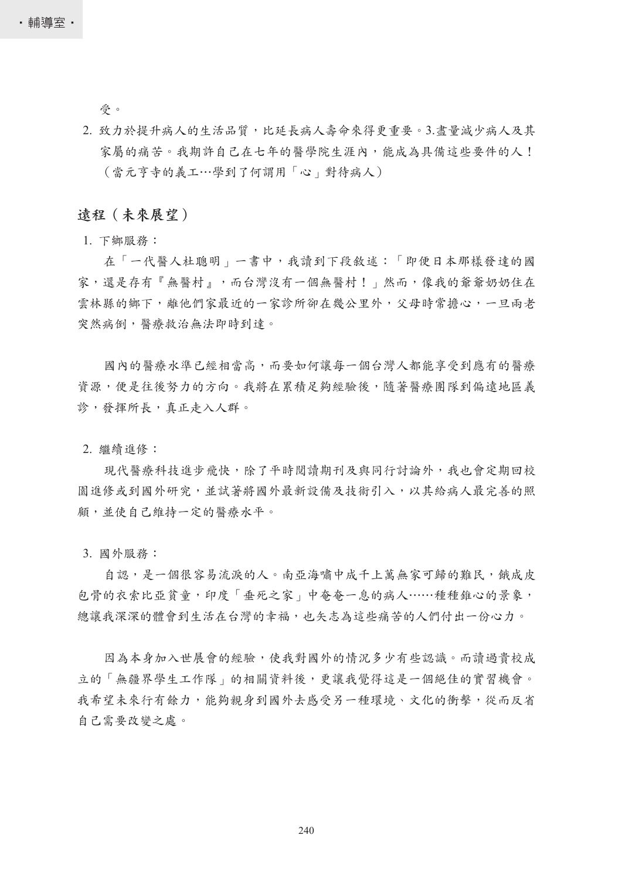受。

2. 致力於提升病人的生活品質,比延長病人壽命來得更重要。3.盡量減少病人及其 家屬的痛苦。我期許自己在七年的醫學院生涯內,能成為具備這些要件的人! (當元亨寺的義工…學到了何謂用「心」對待病人)

#### 遠程(未來展望)

1. 下鄉服務:

在「一代醫人杜聰明」一書中,我讀到下段敘述:「即便日本那樣發達的國 家,還是存有『無醫村』,而台灣沒有一個無醫村!」然而,像我的爺爺奶奶住在 雲林縣的鄉下,離他們家最近的一家診所卻在幾公里外,父母時常擔心,一旦兩老 突然病倒,醫療救治無法即時到達。

國內的醫療水準已經相當高,而要如何讓每一個台灣人都能享受到應有的醫療 資源,便是往後努力的方向。我將在累積足夠經驗後,隨著醫療團隊到偏遠地區義 診,發揮所長,真正走入人群。

2. 繼續進修:

現代醫療科技進步飛快,除了平時閱讀期刊及與同行討論外,我也會定期回校 園進修或到國外研究,並試著將國外最新設備及技術引入,以其給病人最完善的照 顧,並使自己維持一定的醫療水平。

3. 國外服務:

自認,是一個很容易流淚的人。南亞海嘯中成千上萬無家可歸的難民,餓成皮 包骨的衣索比亞貧童,印度「垂死之家」中奄奄一息的病人……種種錐心的景象, 總讓我深深的體會到生活在台灣的幸福,也矢志為這些痛苦的人們付出一份心力。

因為本身加入世展會的經驗,使我對國外的情況多少有些認識。而讀過貴校成 立的「無疆界學生工作隊」的相關資料後,更讓我覺得這是一個絕佳的實習機會。 我希望未來行有餘力,能夠親身到國外去感受另一種環境、文化的衝擊,從而反省 自己需要改變之處。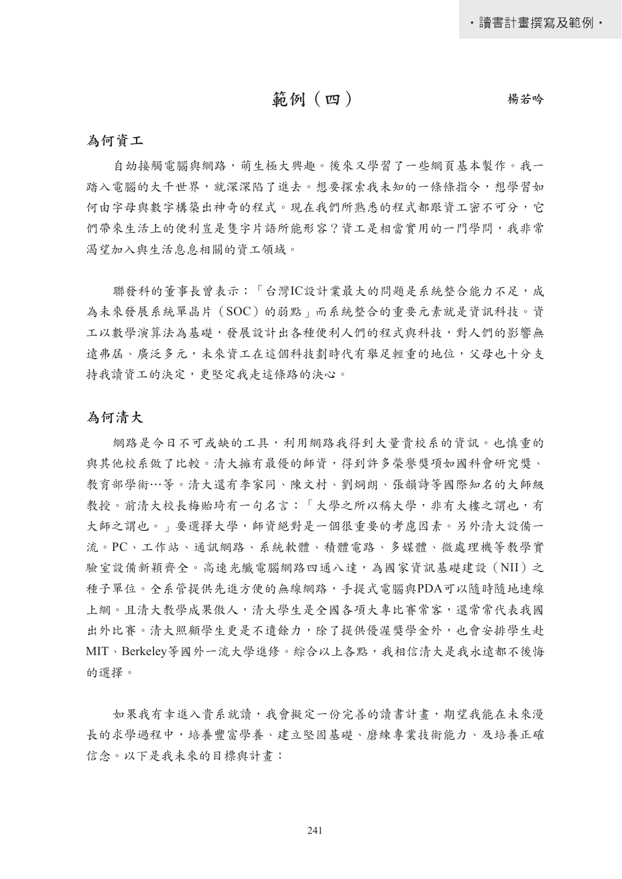## 範例(四)

楊若吟

#### 為何資工

自幼接觸電腦與路,萌生極大興趣。後來又學習了一些網頁基本製作。我一 踏入電腦的大千世界,就深深陷了進去。想要探索我未知的一條條指令,想學習如 何由字母與數字構築出神奇的程式。現在我們所熟悉的程式都跟資工密不可分,它 們帶來生活上的便利豈是隻字片語所能形容?資工是相當實用的一門學問,我非常 渴望加入與生活息息相關的資工領域。

聯發科的董事長曾表示:「台灣IC設計業最大的問題是系統整合能力不足,成 為未來發展系統單晶片(SOC)的弱點」而系統整合的重要元素就是資訊科技。資 工以數學演算法為基礎,發展設計出各種便利人們的程式與科技,對人們的影響無 遠弗屆、廣泛多元,未來資工在這個科技劃時代有舉足輕重的地位,父母也十分支 持我讀資工的決定,更堅定我走這條路的決心。

#### 為何清大

網路是今日不可或缺的工具,利用網路我得到大量貴校系的資訊。也慎重的 與其他校系做了比較。清大擁有最優的師資,得到許多榮譽獎項如國科會研究獎、 教育部學術…等。清大還有李家同、陳文村、劉烔朗、張韻詩等國際知名的大師級 教授。前清大校長梅貽琦有一句名言:「大學之所以稱大學,非有大樓之謂也,有 大師之謂也。」要選擇大學,師資絕對是一個很重要的考慮因素。另外清大設備一 流。PC、工作站、通訊網路、系統軟體、積體電路、多媒體、微處理機等教學實 驗室設備新穎齊全。高速光纖電腦網路四通八達,為國家資訊基礎建設(NII)之 種子單位。全系管提供先進方便的無線網路,手提式電腦與PDA可以隨時隨地連線 上網。且清大教學成果傲人,清大學生是全國各項大專比賽常客,還常常代表我國 出外比賽。清大照顧學生更是不遺餘力,除了提供優渥獎學金外,也會安排學生赴 MIT、Berkeley等國外一流大學進修。綜合以上各點,我相信清大是我永遠都不後悔 的選擇。

如果我有幸進入貴系就讀,我會擬定一份完善的讀書計畫,期望我能在未來漫 長的求學過程中,培養豐富學養、建立堅固基礎、磨練專業技術能力、及培養正確 信念。以下是我未來的目標與計畫:

241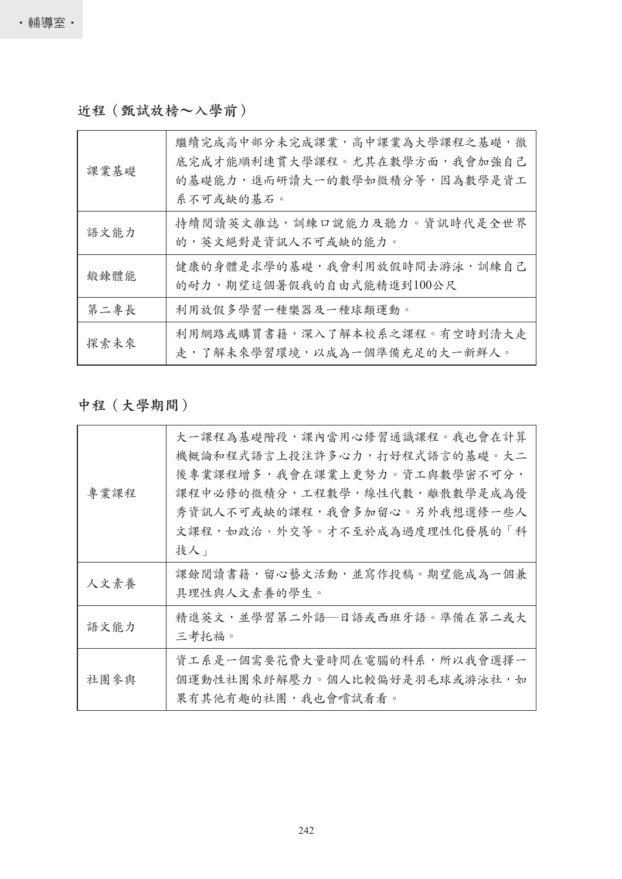# 近程(甄試放榜~入學前)

| 課業基礎 | 繼續完成高中部分未完成課業,高中課業為大學課程之基礎,徹<br>底完成才能順利連貫大學課程。尤其在數學方面,我會加強自己<br>的基礎能力,進而研讀大一的數學如微積分等,因為數學是資工<br>系不可或缺的基石。 |
|------|-----------------------------------------------------------------------------------------------------------|
| 語文能力 | 持續閱讀英文雜誌,訓練口說能力及聽力。資訊時代是全世界<br>的,英文絕對是資訊人不可或缺的能力。                                                         |
| 鍛鍊體能 | 健康的身體是求學的基礎,我會利用放假時間去游泳,訓練自己<br>的耐力,期望這個暑假我的自由式能精進到100公尺                                                  |
| 第二專長 | 利用放假多學習一種樂器及一種球類運動。                                                                                       |
| 探索未來 | 利用網路或購買書籍,深入了解本校系之課程。有空時到清大走<br>走,了解未來學習環境,以成為一個準備充足的大一新鮮人。                                               |

# 中程(大學期間)

| 專業課程 | 大一課程為基礎階段,課內當用心修習通識課程。我也會在計算<br>機概論和程式語言上投注許多心力,打好程式語言的基礎。大二<br>後專業課程增多,我會在課業上更努力。資工與數學密不可分,<br>課程中必修的微積分,工程數學,線性代數,離散數學是成為優<br>秀資訊人不可或缺的課程,我會多加留心。另外我想選修一些人<br>文課程,如政治、外交等。才不至於成為過度理性化發展的「科<br>技人」 |
|------|-----------------------------------------------------------------------------------------------------------------------------------------------------------------------------------------------------|
| 人文素養 | 課餘閱讀書籍,留心藝文活動,並寫作投稿。期望能成為一個兼<br>具理性與人文素養的學生。                                                                                                                                                        |
| 語文能力 | 精進英文,並學習第二外語––日語或西班牙語。準備在第二或大<br>三考托福。                                                                                                                                                              |
| 社團參與 | 資工系是一個需要花費大量時間在電腦的科系,所以我會選擇一<br>個運動性社團來紓解壓力。個人比較偏好是羽毛球或游泳社,如<br>果有其他有趣的社團,我也會嚐試看看。                                                                                                                  |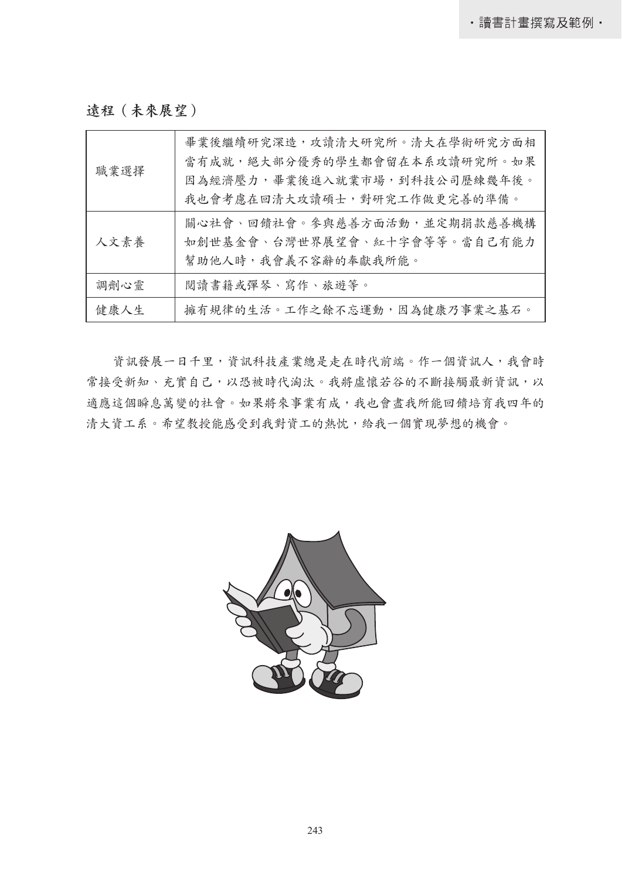遠程(未來展望)

| 職業選擇 | 畢業後繼續研究深造,攻讀清大研究所。清大在學術研究方面相 |
|------|------------------------------|
|      | 當有成就,絕大部分優秀的學生都會留在本系攻讀研究所。如果 |
|      | 因為經濟壓力,畢業後進入就業市場,到科技公司歷練幾年後。 |
|      | 我也會考慮在回清大攻讀碩士,對研究工作做更完善的準備。  |
| 人文素養 | 關心社會、回饋社會。參與慈善方面活動,並定期捐款慈善機構 |
|      | 如創世基金會、台灣世界展望會、紅十字會等等。當自己有能力 |
|      | 幫助他人時,我會義不容辭的奉獻我所能。          |
| 調劑心靈 | 閱讀書籍或彈琴、寫作、旅遊等。              |
| 健康人生 | 擁有規律的生活。工作之餘不忘運動,因為健康乃事業之基石。 |

資訊發展一日千里,資訊科技產業總是走在時代前端。作一個資訊人,我會時 常接受新知、充實自己,以恐被時代淘汰。我將虛懷若谷的不斷接觸最新資訊,以 適應這個瞬息萬變的社會。如果將來事業有成,我也會盡我所能回饋培育我四年的 清大資工系。希望教授能感受到我對資工的熱忱,給我一個實現夢想的機會。

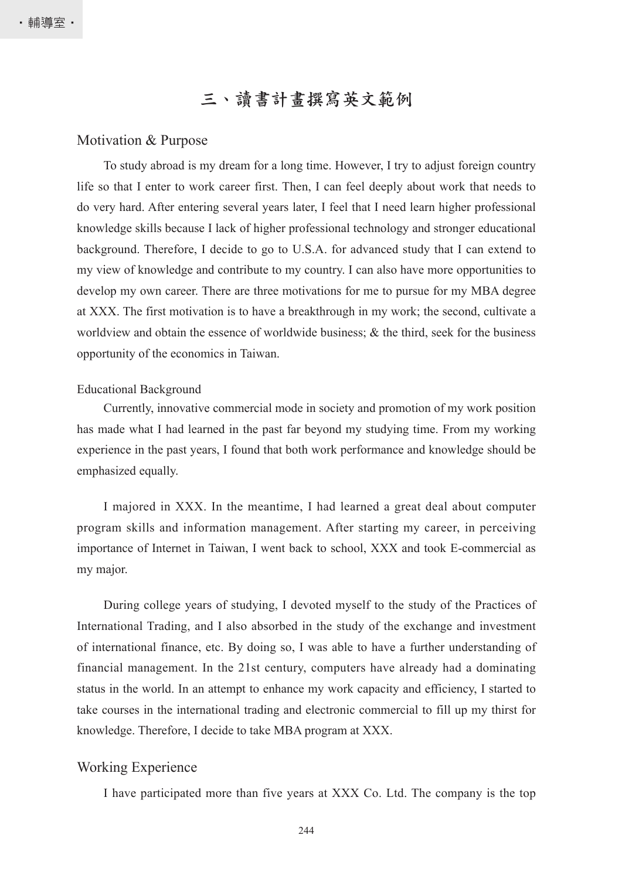# 三、讀書計畫撰寫英文範例

#### Motivation & Purpose

To study abroad is my dream for a long time. However, I try to adjust foreign country life so that I enter to work career first. Then, I can feel deeply about work that needs to do very hard. After entering several years later, I feel that I need learn higher professional knowledge skills because I lack of higher professional technology and stronger educational background. Therefore, I decide to go to U.S.A. for advanced study that I can extend to my view of knowledge and contribute to my country. I can also have more opportunities to develop my own career. There are three motivations for me to pursue for my MBA degree at XXX. The first motivation is to have a breakthrough in my work; the second, cultivate a worldview and obtain the essence of worldwide business; & the third, seek for the business opportunity of the economics in Taiwan.

#### Educational Background

Currently, innovative commercial mode in society and promotion of my work position has made what I had learned in the past far beyond my studying time. From my working experience in the past years, I found that both work performance and knowledge should be emphasized equally.

I majored in XXX. In the meantime, I had learned a great deal about computer program skills and information management. After starting my career, in perceiving importance of Internet in Taiwan, I went back to school, XXX and took E-commercial as my major.

During college years of studying, I devoted myself to the study of the Practices of International Trading, and I also absorbed in the study of the exchange and investment of international finance, etc. By doing so, I was able to have a further understanding of financial management. In the 21st century, computers have already had a dominating status in the world. In an attempt to enhance my work capacity and efficiency, I started to take courses in the international trading and electronic commercial to fill up my thirst for knowledge. Therefore, I decide to take MBA program at XXX.

#### Working Experience

I have participated more than five years at XXX Co. Ltd. The company is the top